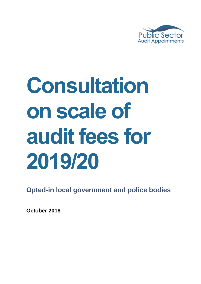

# **Consultation on scale of audit fees for 2019/20**

**Opted-in local government and police bodies**

**October 2018**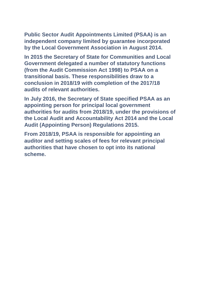**Public Sector Audit Appointments Limited (PSAA) is an independent company limited by guarantee incorporated by the Local Government Association in August 2014.**

**In 2015 the Secretary of State for Communities and Local Government delegated a number of statutory functions (from the Audit Commission Act 1998) to PSAA on a transitional basis. These responsibilities draw to a conclusion in 2018/19 with completion of the 2017/18 audits of relevant authorities.**

**In July 2016, the Secretary of State specified PSAA as an appointing person for principal local government authorities for audits from 2018/19, under the provisions of the Local Audit and Accountability Act 2014 and the Local Audit (Appointing Person) Regulations 2015.**

**From 2018/19, PSAA is responsible for appointing an auditor and setting scales of fees for relevant principal authorities that have chosen to opt into its national scheme.**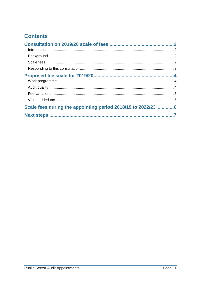# **Contents**

| Scale fees during the appointing period 2018/19 to 2022/23 6 |  |
|--------------------------------------------------------------|--|
|                                                              |  |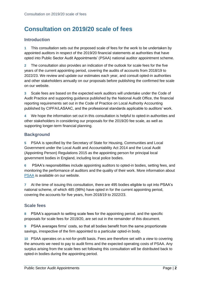# <span id="page-3-0"></span>**Consultation on 2019/20 scale of fees**

### <span id="page-3-1"></span>**Introduction**

**1** This consultation sets out the proposed scale of fees for the work to be undertaken by appointed auditors in respect of the 2019/20 financial statements at authorities that have opted into Public Sector Audit Appointments' (PSAA) national auditor appointment scheme.

**2** The consultation also provides an indication of the outlook for scale fees for the five years of the current appointing period, covering the audits of accounts from 2018/19 to 2022/23. We review and update our estimates each year, and consult opted-in authorities and other stakeholders annually on our proposals before publishing the confirmed fee scale on our website.

**3** Scale fees are based on the expected work auditors will undertake under the Code of Audit Practice and supporting guidance published by the National Audit Office, the financial reporting requirements set out in the Code of Practice on Local Authority Accounting published by CIPFA/LASAAC, and the professional standards applicable to auditors' work.

**4** We hope the information set out in this consultation is helpful to opted-in authorities and other stakeholders in considering our proposals for the 2019/20 fee scale, as well as supporting longer-term financial planning.

## <span id="page-3-2"></span>**Background**

**5** PSAA is specified by the Secretary of State for Housing, Communities and Local Government under the Local Audit and Accountability Act 2014 and the Local Audit (Appointing Person) Regulations 2015 as the appointing person for principal local government bodies in England, including local police bodies.

**6** PSAA's responsibilities include appointing auditors to opted-in bodies, setting fees, and monitoring the performance of auditors and the quality of their work. More information about [PSAA](http://www.psaa.co.uk/about-us/what-we-do/) is available on our website.

**7** At the time of issuing this consultation, there are 495 bodies eligible to opt into PSAA's national scheme, of which 485 (98%) have opted in for the current appointing period, covering the accounts for five years, from 2018/19 to 2022/23.

#### <span id="page-3-3"></span>**Scale fees**

**8** PSAA's approach to setting scale fees for the appointing period, and the specific proposals for scale fees for 2019/20, are set out in the remainder of this document.

**9** PSAA averages firms' costs, so that all bodies benefit from the same proportionate savings, irrespective of the firm appointed to a particular opted-in body.

**10** PSAA operates on a not-for-profit basis. Fees are therefore set with a view to covering the amounts we need to pay to audit firms and the expected operating costs of PSAA. Any surplus arising from the scale fees set following this consultation will be distributed back to opted-in bodies during the appointing period.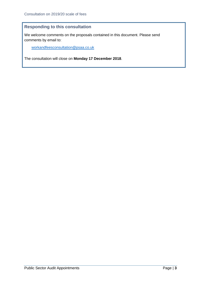## <span id="page-4-0"></span>**Responding to this consultation**

We welcome comments on the proposals contained in this document. Please send comments by email to:

[workandfeesconsultation@psaa.co.uk](mailto:workandfeesconsultation@psaa.co.uk)

The consultation will close on **Monday 17 December 2018**.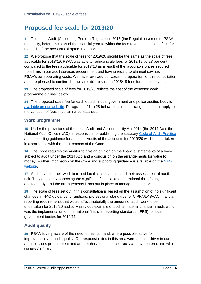# <span id="page-5-0"></span>**Proposed fee scale for 2019/20**

**11** The Local Audit (Appointing Person) Regulations 2015 (the Regulations) require PSAA to specify, before the start of the financial year to which the fees relate, the scale of fees for the audit of the accounts of opted-in authorities.

**12** We propose that the scale of fees for 2019/20 should be the same as the scale of fees applicable for 2018/19. PSAA was able to reduce scale fees for 2018/19 by 23 per cent compared to the fees applicable for 2017/18 as a result of the favourable prices secured from firms in our audit services procurement and having regard to planned savings in PSAA's own operating costs. We have reviewed our costs in preparation for this consultation and are pleased to confirm that we are able to sustain 2018/19 fees for a second year.

**13** The proposed scale of fees for 2019/20 reflects the cost of the expected work programme outlined below.

**14** The proposed scale fee for each opted-in local government and police audited body is [available on our website.](https://www.psaa.co.uk/audit-fees/2019-2020scaleoffees) Paragraphs [21](#page-6-2) to [25](#page-6-3) below explain the arrangements that apply to the variation of fees in certain circumstances.

#### <span id="page-5-1"></span>**Work programme**

**15** Under the provisions of the Local Audit and Accountability Act 2014 (the 2014 Act), the National Audit Office (NAO) is responsible for publishing the statutory [Code of Audit Practice](http://www.nao.org.uk/code-audit-practice/wp-content/uploads/sites/29/2015/03/Final-Code-of-Audit-Practice.pdf) and supporting guidance for auditors. Audits of the accounts for 2019/20 will be undertaken in accordance with the requirements of the Code.

**16** The Code requires the auditor to give an opinion on the financial statements of a body subject to audit under the 2014 Act, and a conclusion on the arrangements for value for money. Further information on the Code and supporting guidance is available on the NAO [website.](http://www.nao.org.uk/code-audit-practice/)

**17** Auditors tailor their work to reflect local circumstances and their assessment of audit risk. They do this by assessing the significant financial and operational risks facing an audited body, and the arrangements it has put in place to manage those risks.

**18** The scale of fees set out in this consultation is based on the assumption of no significant changes in NAO guidance for auditors, professional standards, or CIPFA/LASAAC financial reporting requirements that would affect materially the amount of audit work to be undertaken for 2019/20 audits. A previous example of such a material change in audit work was the implementation of international financial reporting standards (IFRS) for local government bodies for 2010/11.

## <span id="page-5-2"></span>**Audit quality**

**19** PSAA is very aware of the need to maintain and, where possible, strive for improvements in, audit quality. Our responsibilities in this area were a major driver in our audit services procurement and are emphasised in the contracts we have entered into with successful firms.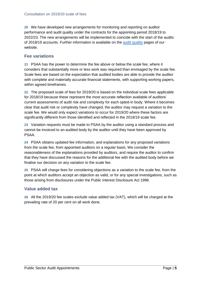**20** We have developed new arrangements for monitoring and reporting on auditor performance and audit quality under the contracts for the appointing period 2018/19 to 2022/23. The new arrangements will be implemented to coincide with the start of the audits of 2018/19 accounts. Further information is available on the [audit quality](https://www.psaa.co.uk/audit-quality/) pages of our website.

#### <span id="page-6-0"></span>**Fee variations**

<span id="page-6-2"></span>**21** PSAA has the power to determine the fee above or below the scale fee, where it considers that substantially more or less work was required than envisaged by the scale fee. Scale fees are based on the expectation that audited bodies are able to provide the auditor with complete and materially accurate financial statements, with supporting working papers, within agreed timeframes.

**22** The proposed scale of fees for 2019/20 is based on the individual scale fees applicable for 2018/19 because these represent the most accurate reflection available of auditors' current assessments of audit risk and complexity for each opted-in body. Where it becomes clear that audit risk or complexity have changed, the auditor may request a variation to the scale fee. We would only expect variations to occur for 2019/20 where these factors are significantly different from those identified and reflected in the 2018/19 scale fee.

**23** Variation requests must be made to PSAA by the auditor using a standard process and cannot be invoiced to an audited body by the auditor until they have been approved by PSAA.

**24** PSAA obtains updated fee information, and explanations for any proposed variations from the scale fee, from appointed auditors on a regular basis. We consider the reasonableness of the explanations provided by auditors, and require the auditor to confirm that they have discussed the reasons for the additional fee with the audited body before we finalise our decision on any variation to the scale fee.

<span id="page-6-3"></span>**25** PSAA will charge fees for considering objections as a variation to the scale fee, from the point at which auditors accept an objection as valid, or for any special investigations, such as those arising from disclosures under the Public Interest Disclosure Act 1998.

#### <span id="page-6-1"></span>**Value added tax**

**26** All the 2019/20 fee scales exclude value added tax (VAT), which will be charged at the prevailing rate of 20 per cent on all work done.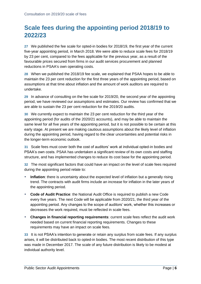# <span id="page-7-0"></span>**Scale fees during the appointing period 2018/19 to 2022/23**

**27** We published the fee scale for opted-in bodies for 2018/19, the first year of the current five-year appointing period, in March 2018. We were able to reduce scale fees for 2018/19 by 23 per cent, compared to the fees applicable for the previous year, as a result of the favourable prices secured from firms in our audit services procurement and planned reductions in PSAA's own operating costs.

**28** When we published the 2018/19 fee scale, we explained that PSAA hopes to be able to maintain the 23 per cent reduction for the first three years of the appointing period, based on assumptions at that time about inflation and the amount of work auditors are required to undertake.

**29** In advance of consulting on the fee scale for 2019/20, the second year of the appointing period, we have reviewed our assumptions and estimates. Our review has confirmed that we are able to sustain the 23 per cent reduction for the 2019/20 audits.

**30** We currently expect to maintain the 23 per cent reduction for the third year of the appointing period (for audits of the 2020/21 accounts), and may be able to maintain the same level for all five years of the appointing period, but it is not possible to be certain at this early stage. At present we are making cautious assumptions about the likely level of inflation during the appointing period, having regard to the clear uncertainties and potential risks in the longer-term economic outlook.

**31** Scale fees must cover both the cost of auditors' work at individual opted-in bodies and PSAA's own costs. PSAA has undertaken a significant review of its own costs and staffing structure, and has implemented changes to reduce its cost base for the appointing period.

**32** The most significant factors that could have an impact on the level of scale fees required during the appointing period relate to:

- **Inflation**: there is uncertainty about the expected level of inflation but a generally rising trend. The contracts with audit firms include an increase for inflation in the later years of the appointing period.
- **Code of Audit Practice**: the National Audit Office is required to publish a new Code every five years. The next Code will be applicable from 2020/21, the third year of the appointing period. Any changes to the scope of auditors' work, whether this increases or decreases the work required, must be reflected in scale fees.
- **Changes in financial reporting requirements**: current scale fees reflect the audit work needed based on current financial reporting requirements. Changes to these requirements may have an impact on scale fees.

**33** It is not PSAA's intention to generate or retain any surplus from scale fees. If any surplus arises, it will be distributed back to opted-in bodies. The most recent distribution of this type was made in December 2017. The scale of any future distribution is likely to be modest at individual authority level.